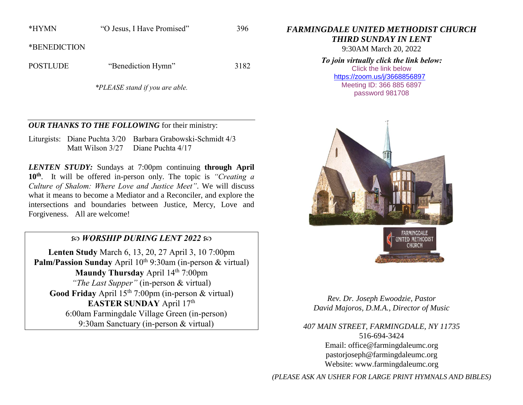\*HYMN "O Jesus, I Have Promised" 396

\*BENEDICTION

POSTLUDE "Benediction Hymn" 3182

*\*PLEASE stand if you are able.*

### *OUR THANKS TO THE FOLLOWING* for their ministry:

Liturgists: Diane Puchta 3/20 Barbara Grabowski-Schmidt 4/3 Matt Wilson 3/27 Diane Puchta 4/17

*LENTEN STUDY:* Sundays at 7:00pm continuing **through April 10th**. It will be offered in-person only. The topic is *"Creating a Culture of Shalom: Where Love and Justice Meet"*. We will discuss what it means to become a Mediator and a Reconciler, and explore the intersections and boundaries between Justice, Mercy, Love and Forgiveness. All are welcome!

# *WORSHIP DURING LENT 2022*

**Lenten Study** March 6, 13, 20, 27 April 3, 10 7:00pm Palm/Passion Sunday April 10<sup>th</sup> 9:30am (in-person & virtual) **Maundy Thursday** April 14<sup>th</sup> 7:00pm *"The Last Supper"* (in-person & virtual) Good Friday April 15<sup>th</sup> 7:00pm (in-person & virtual) EASTER SUNDAY April 17<sup>th</sup> 6:00am Farmingdale Village Green (in-person) 9:30am Sanctuary (in-person & virtual)

*FARMINGDALE UNITED METHODIST CHURCH*

*THIRD SUNDAY IN LENT*

9:30AM March 20, 2022

*To join virtually click the link below:* Click the link below

<https://zoom.us/j/3668856897> Meeting ID: 366 885 6897 password 981708





*Rev. Dr. Joseph Ewoodzie, Pastor David Majoros, D.M.A., Director of Music*

*407 MAIN STREET, FARMINGDALE, NY 11735* 516-694-3424 Email: [office@farmingdaleumc.org](mailto:office@farmingdaleumc.org) pastorjoseph@farmingdaleumc.org Website: www.farmingdaleumc.org

*(PLEASE ASK AN USHER FOR LARGE PRINT HYMNALS AND BIBLES)*